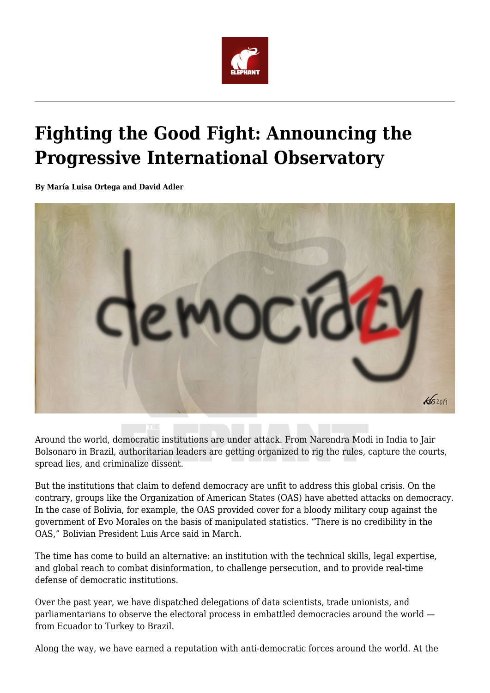

## **Fighting the Good Fight: Announcing the Progressive International Observatory**

**By María Luisa Ortega and David Adler**



Around the world, democratic institutions are under attack. From Narendra Modi in India to Jair Bolsonaro in Brazil, authoritarian leaders are getting organized to rig the rules, capture the courts, spread lies, and criminalize dissent.

But the institutions that claim to defend democracy are unfit to address this global crisis. On the contrary, groups like the Organization of American States (OAS) have abetted attacks on democracy. In the case of Bolivia, for example, the OAS provided cover for a bloody military coup against the government of Evo Morales on the basis of manipulated statistics. "There is no credibility in the OAS," Bolivian President Luis Arce said in March.

The time has come to build an alternative: an institution with the technical skills, legal expertise, and global reach to combat disinformation, to challenge persecution, and to provide real-time defense of democratic institutions.

Over the past year, we have dispatched delegations of data scientists, trade unionists, and parliamentarians to observe the electoral process in embattled democracies around the world from Ecuador to Turkey to Brazil.

Along the way, we have earned a reputation with anti-democratic forces around the world. At the